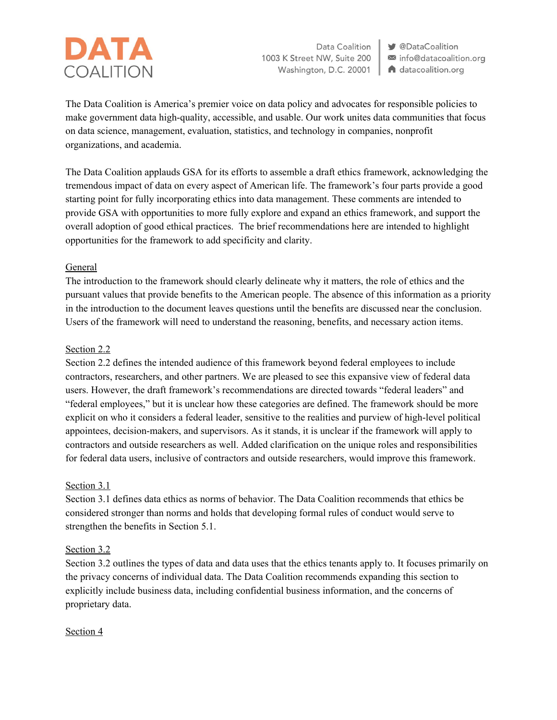# **DATA** COALITION

Data Coalition 1003 K Street NW, Suite 200 Washington, D.C. 20001

**V** @DataCoalition info@datacoalition.org A datacoalition.org

The Data Coalition is America's premier voice on data policy and advocates for responsible policies to make government data high-quality, accessible, and usable. Our work unites data communities that focus on data science, management, evaluation, statistics, and technology in companies, nonprofit organizations, and academia.

The Data Coalition applauds GSA for its efforts to assemble a draft ethics framework, acknowledging the tremendous impact of data on every aspect of American life. The framework's four parts provide a good starting point for fully incorporating ethics into data management. These comments are intended to provide GSA with opportunities to more fully explore and expand an ethics framework, and support the overall adoption of good ethical practices. The brief recommendations here are intended to highlight opportunities for the framework to add specificity and clarity.

# General

The introduction to the framework should clearly delineate why it matters, the role of ethics and the pursuant values that provide benefits to the American people. The absence of this information as a priority in the introduction to the document leaves questions until the benefits are discussed near the conclusion. Users of the framework will need to understand the reasoning, benefits, and necessary action items.

## Section 2.2

Section 2.2 defines the intended audience of this framework beyond federal employees to include contractors, researchers, and other partners. We are pleased to see this expansive view of federal data users. However, the draft framework's recommendations are directed towards "federal leaders" and "federal employees," but it is unclear how these categories are defined. The framework should be more explicit on who it considers a federal leader, sensitive to the realities and purview of high-level political appointees, decision-makers, and supervisors. As it stands, it is unclear if the framework will apply to contractors and outside researchers as well. Added clarification on the unique roles and responsibilities for federal data users, inclusive of contractors and outside researchers, would improve this framework.

## Section 3.1

Section 3.1 defines data ethics as norms of behavior. The Data Coalition recommends that ethics be considered stronger than norms and holds that developing formal rules of conduct would serve to strengthen the benefits in Section 5.1.

## Section 3.2

Section 3.2 outlines the types of data and data uses that the ethics tenants apply to. It focuses primarily on the privacy concerns of individual data. The Data Coalition recommends expanding this section to explicitly include business data, including confidential business information, and the concerns of proprietary data.

## Section 4